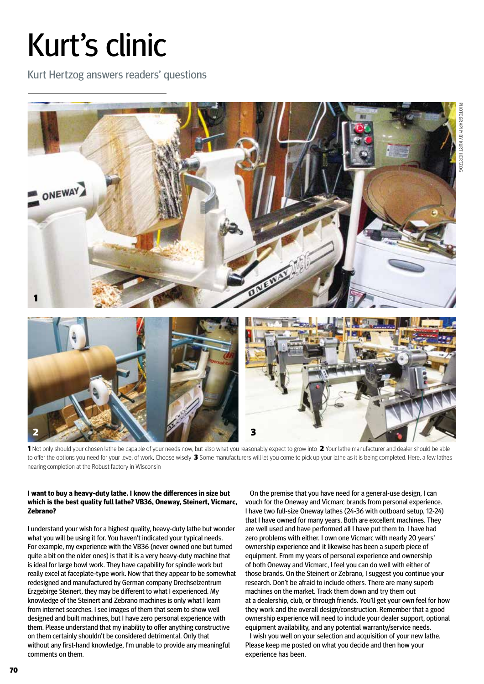## Kurt's clinic

Kurt Hertzog answers readers' questions



1 Not only should your chosen lathe be capable of your needs now, but also what you reasonably expect to grow into 2 Your lathe manufacturer and dealer should be able to offer the options you need for your level of work. Choose wisely 3 Some manufacturers will let you come to pick up your lathe as it is being completed. Here, a few lathes nearing completion at the Robust factory in Wisconsin

## **I want to buy a heavy-duty lathe. I know the differences in size but which is the best quality full lathe? VB36, Oneway, Steinert, Vicmarc, Zebrano?**

I understand your wish for a highest quality, heavy-duty lathe but wonder what you will be using it for. You haven't indicated your typical needs. For example, my experience with the VB36 (never owned one but turned quite a bit on the older ones) is that it is a very heavy-duty machine that is ideal for large bowl work. They have capability for spindle work but really excel at faceplate-type work. Now that they appear to be somewhat redesigned and manufactured by German company Drechselzentrum Erzgebirge Steinert, they may be different to what I experienced. My knowledge of the Steinert and Zebrano machines is only what I learn from internet searches. I see images of them that seem to show well designed and built machines, but I have zero personal experience with them. Please understand that my inability to offer anything constructive on them certainly shouldn't be considered detrimental. Only that without any first-hand knowledge, I'm unable to provide any meaningful comments on them.

On the premise that you have need for a general-use design, I can vouch for the Oneway and Vicmarc brands from personal experience. I have two full-size Oneway lathes (24-36 with outboard setup, 12-24) that I have owned for many years. Both are excellent machines. They are well used and have performed all I have put them to. I have had zero problems with either. I own one Vicmarc with nearly 20 years' ownership experience and it likewise has been a superb piece of equipment. From my years of personal experience and ownership of both Oneway and Vicmarc, I feel you can do well with either of those brands. On the Steinert or Zebrano, I suggest you continue your research. Don't be afraid to include others. There are many superb machines on the market. Track them down and try them out at a dealership, club, or through friends. You'll get your own feel for how they work and the overall design/construction. Remember that a good ownership experience will need to include your dealer support, optional equipment availability, and any potential warranty/service needs.

I wish you well on your selection and acquisition of your new lathe. Please keep me posted on what you decide and then how your experience has been.

70